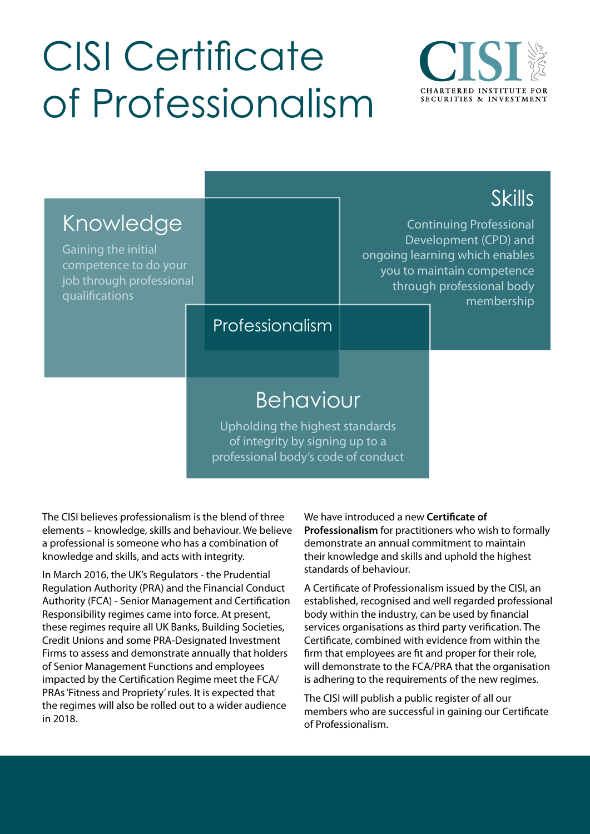## CISI Certificate of Professionalism



| Knowledge<br>Gaining the initial<br>competence to do your<br>job through professional<br>qualifications | Professionalism                                                                                                               | <b>Skills</b><br><b>Continuing Professional</b><br>Development (CPD) and<br>ongoing learning which enables<br>you to maintain competence<br>through professional body<br>membership |  |
|---------------------------------------------------------------------------------------------------------|-------------------------------------------------------------------------------------------------------------------------------|-------------------------------------------------------------------------------------------------------------------------------------------------------------------------------------|--|
|                                                                                                         | <b>Behaviour</b><br>Upholding the highest standards<br>of integrity by signing up to a<br>professional body's code of conduct |                                                                                                                                                                                     |  |

The CISI believes professionalism is the blend of three elements – knowledge, skills and behaviour. We believe a professional is someone who has a combination of knowledge and skills, and acts with integrity.

In March 2016, the UK's Regulators - the Prudential Regulation Authority (PRA) and the Financial Conduct Authority (FCA) - Senior Management and Certification Responsibility regimes came into force. At present, these regimes require all UK Banks, Building Societies, Credit Unions and some PRA-Designated Investment Firms to assess and demonstrate annually that holders of Senior Management Functions and employees impacted by the Certification Regime meet the FCA/ PRAs 'Fitness and Propriety' rules. It is expected that the regimes will also be rolled out to a wider audience 2018. in

We have introduced a new **Certificate of** Professionalism for practitioners who wish to formally demonstrate an annual commitment to maintain their knowledge and skills and uphold the highest standards of behaviour.

A Certificate of Professionalism issued by the CISI, an established, recognised and well regarded professional body within the industry, can be used by financial services organisations as third party verification. The Certificate, combined with evidence from within the firm that employees are fit and proper for their role, will demonstrate to the FCA/PRA that the organisation is adhering to the requirements of the new regimes.

The CISI will publish a public register of all our members who are successful in gaining our Certificate of Professionalism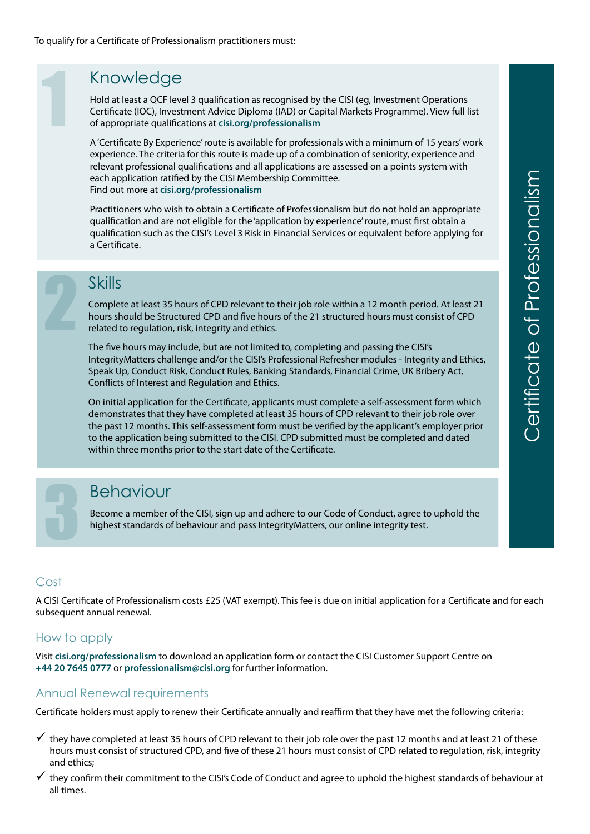### Knowledge

Hold at least a QCF level 3 qualification as recognised by the CISI (eq. Investment Operations Certificate (IOC), Investment Advice Diploma (IAD) or Capital Markets Programme). View full list of appropriate qualifications at cisi.org/professionalism

A 'Certificate By Experience' route is available for professionals with a minimum of 15 years' work experience. The criteria for this route is made up of a combination of seniority, experience and relevant professional qualifications and all applications are assessed on a points system with each application ratified by the CISI Membership Committee. Find out more at cisi.org/professionalism

Practitioners who wish to obtain a Certificate of Professionalism but do not hold an appropriate qualification and are not eligible for the 'application by experience' route, must first obtain a qualification such as the CISI's Level 3 Risk in Financial Services or equivalent before applying for a Certificate.

## **Skills**

1

Complete at least 35 hours of CPD relevant to their job role within a 12 month period. At least 21 hours should be Structured CPD and five hours of the 21 structured hours must consist of CPD related to regulation, risk, integrity and ethics.

The five hours may include, but are not limited to, completing and passing the CISI's Integrity Matters challenge and/or the CISI's Professional Refresher modules - Integrity and Ethics, Speak Up, Conduct Risk, Conduct Rules, Banking Standards, Financial Crime, UK Bribery Act, Conflicts of Interest and Regulation and Ethics.

On initial application for the Certificate, applicants must complete a self-assessment form which demonstrates that they have completed at least 35 hours of CPD relevant to their job role over the past 12 months. This self-assessment form must be verified by the applicant's employer prior to the application being submitted to the CISI. CPD submitted must be completed and dated within three months prior to the start date of the Certificate.

#### Behaviour

Become a member of the CISI, sign up and adhere to our Code of Conduct, agree to uphold the highest standards of behaviour and pass IntegrityMatters, our online integrity test.

#### Cost

3

A CISI Certificate of Professionalism costs £25 (VAT exempt). This fee is due on initial application for a Certificate and for each subsequent annual renewal.

#### How to apply

Visit cisi.org/professionalism to download an application form or contact the CISI Customer Support Centre on +44 20 7645 0777 or professionalism@cisi.org for further information.

#### Annual Renewal requirements

Certificate holders must apply to renew their Certificate annually and reaffirm that they have met the following criteria:

- $\checkmark$  they have completed at least 35 hours of CPD relevant to their job role over the past 12 months and at least 21 of these hours must consist of structured CPD, and five of these 21 hours must consist of CPD related to regulation, risk, integrity and ethics;
- they confirm their commitment to the CISI's Code of Conduct and agree to uphold the highest standards of behaviour at all times.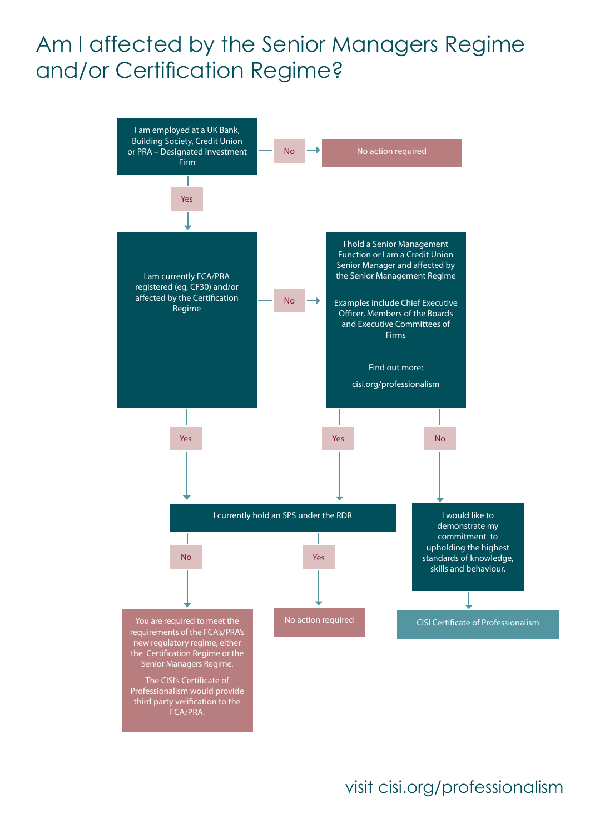## Am I affected by the Senior Managers Regime and/or Certification Regime?



## visit cisi.org/professionalism